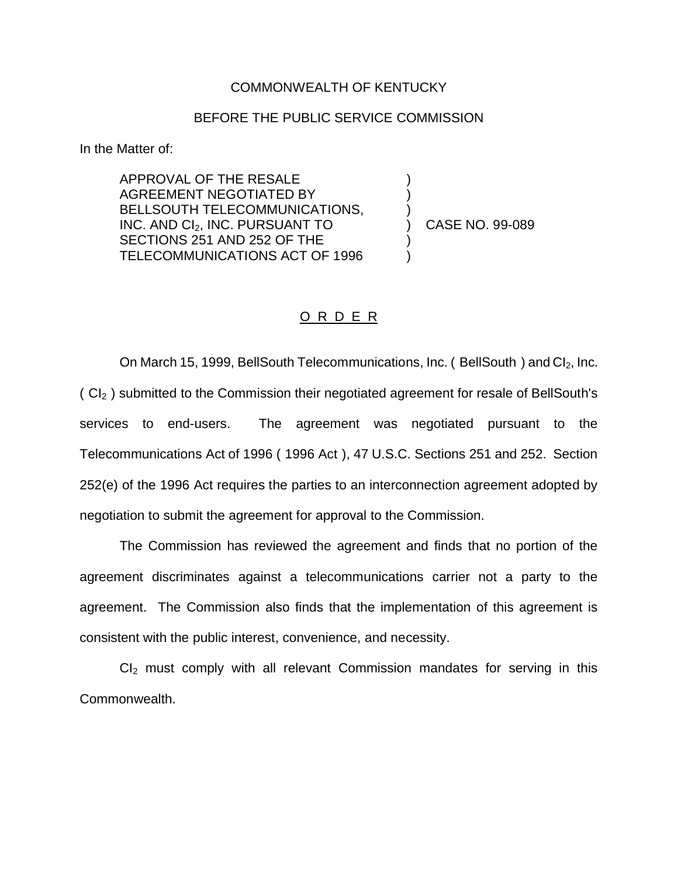## COMMONWEALTH OF KENTUCKY

## BEFORE THE PUBLIC SERVICE COMMISSION

In the Matter of:

APPROVAL OF THE RESALE AGREEMENT NEGOTIATED BY BELLSOUTH TELECOMMUNICATIONS, INC. AND CI2, INC. PURSUANT TO SECTIONS 251 AND 252 OF THE TELECOMMUNICATIONS ACT OF 1996

) CASE NO. 99-089

) )

 $\left\{ \right\}$ 

) )

## O R D E R

On March 15, 1999, BellSouth Telecommunications, Inc. (BellSouth) and  $Cl<sub>2</sub>$ , Inc.  $(CI<sub>2</sub>)$  submitted to the Commission their negotiated agreement for resale of BellSouth's services to end-users. The agreement was negotiated pursuant to the Telecommunications Act of 1996 ( 1996 Act ), 47 U.S.C. Sections 251 and 252. Section 252(e) of the 1996 Act requires the parties to an interconnection agreement adopted by negotiation to submit the agreement for approval to the Commission.

The Commission has reviewed the agreement and finds that no portion of the agreement discriminates against a telecommunications carrier not a party to the agreement. The Commission also finds that the implementation of this agreement is consistent with the public interest, convenience, and necessity.

 $Cl<sub>2</sub>$  must comply with all relevant Commission mandates for serving in this Commonwealth.